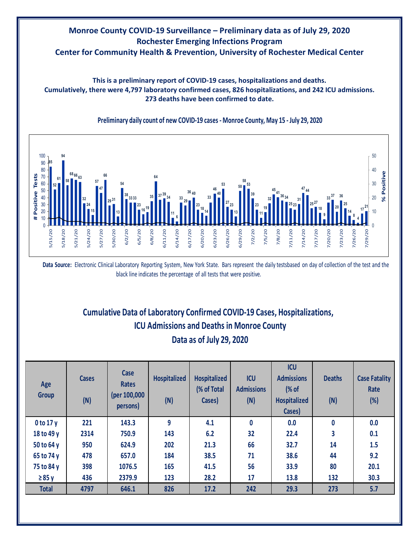# **Monroe County COVID-19 Surveillance – Preliminary data as of July 29, 2020 Rochester Emerging Infections Program Center for Community Health & Prevention, University of Rochester Medical Center**

**This is a preliminary report of COVID-19 cases, hospitalizations and deaths. Cumulatively, there were 4,797 laboratory confirmed cases, 826 hospitalizations, and 242 ICU admissions. 273 deaths have been confirmed to date.**



**Preliminary daily count of new COVID-19 cases - Monroe County, May 15 - July 29, 2020**

**Data Source:** Electronic Clinical Laboratory Reporting System, New York State. Bars represent the daily testsbased on day of collection of the test and the black line indicates the percentage of all tests that were positive.

# **Cumulative Data of Laboratory Confirmed COVID-19 Cases, Hospitalizations, ICU Admissions and Deaths in Monroe County**

#### **Data as of July 29, 2020**

| Age<br><b>Group</b> | <b>Cases</b><br>(N) | Case<br><b>Rates</b><br>(per 100,000<br>persons) | <b>Hospitalized</b><br>(N) | <b>Hospitalized</b><br>(% of Total<br>Cases) | <b>ICU</b><br><b>Admissions</b><br>(N) | <b>ICU</b><br><b>Admissions</b><br>(% of<br><b>Hospitalized</b><br>Cases) | <b>Deaths</b><br>(N) | <b>Case Fatality</b><br>Rate<br>(%) |
|---------------------|---------------------|--------------------------------------------------|----------------------------|----------------------------------------------|----------------------------------------|---------------------------------------------------------------------------|----------------------|-------------------------------------|
| 0 to 17 y           | 221                 | 143.3                                            | 9                          | 4.1                                          | $\mathbf{0}$                           | 0.0                                                                       | $\bf{0}$             | 0.0                                 |
| 18 to 49 y          | 2314                | 750.9                                            | 143                        | 6.2                                          | 32                                     | 22.4                                                                      | 3                    | 0.1                                 |
| 50 to 64 y          | 950                 | 624.9                                            | 202                        | 21.3                                         | 66                                     | 32.7                                                                      | 14                   | 1.5                                 |
| 65 to 74 y          | 478                 | 657.0                                            | 184                        | 38.5                                         | 71                                     | 38.6                                                                      | 44                   | 9.2                                 |
| 75 to 84 y          | 398                 | 1076.5                                           | 165                        | 41.5                                         | 56                                     | 33.9                                                                      | 80                   | 20.1                                |
| $\geq 85$ y         | 436                 | 2379.9                                           | 123                        | 28.2                                         | 17                                     | 13.8                                                                      | 132                  | 30.3                                |
| <b>Total</b>        | 4797                | 646.1                                            | 826                        | 17.2                                         | 242                                    | 29.3                                                                      | 273                  | 5.7                                 |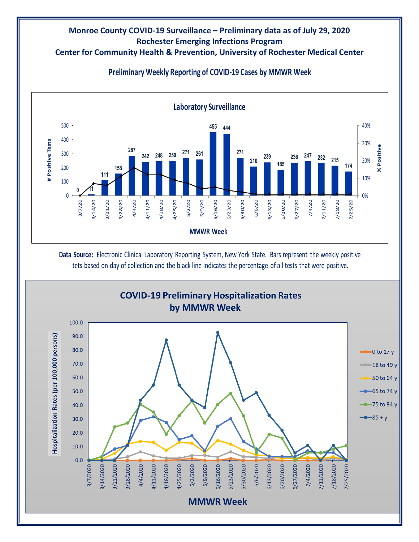#### **Center for Community Health & Prevention, University of Rochester Medical Center**



### **Preliminary Weekly Reporting of COVID-19 Cases by MMWR Week**

**Data Source:** Electronic Clinical Laboratory Reporting System, New York State. Bars represent the weekly positive tets based on day of collection and the black line indicates the percentage of all tests that were positive.

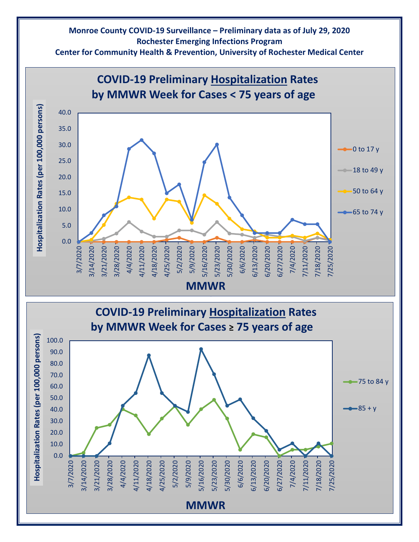**Center for Community Health & Prevention, University of Rochester Medical Center**

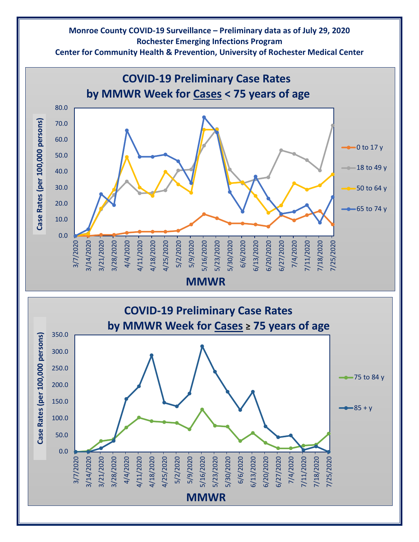**Center for Community Health & Prevention, University of Rochester Medical Center**